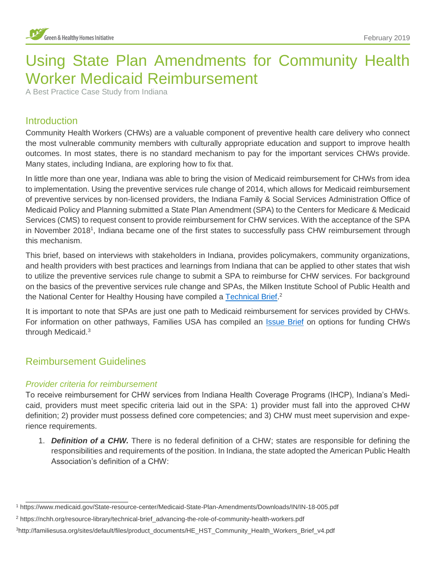# Using State Plan Amendments for Community Health Worker Medicaid Reimbursement

A Best Practice Case Study from Indiana

# **Introduction**

Community Health Workers (CHWs) are a valuable component of preventive health care delivery who connect the most vulnerable community members with culturally appropriate education and support to improve health outcomes. In most states, there is no standard mechanism to pay for the important services CHWs provide. Many states, including Indiana, are exploring how to fix that.

In little more than one year, Indiana was able to bring the vision of Medicaid reimbursement for CHWs from idea to implementation. Using the preventive services rule change of 2014, which allows for Medicaid reimbursement of preventive services by non-licensed providers, the Indiana Family & Social Services Administration Office of Medicaid Policy and Planning submitted a State Plan Amendment (SPA) to the Centers for Medicare & Medicaid Services (CMS) to request consent to provide reimbursement for CHW services. With the acceptance of the SPA in November 2018<sup>1</sup>, Indiana became one of the first states to successfully pass CHW reimbursement through this mechanism.

This brief, based on interviews with stakeholders in Indiana, provides policymakers, community organizations, and health providers with best practices and learnings from Indiana that can be applied to other states that wish to utilize the preventive services rule change to submit a SPA to reimburse for CHW services. For background on the basics of the preventive services rule change and SPAs, the Milken Institute School of Public Health and the National Center for Healthy Housing have compiled a [Technical Brief.](https://nchh.org/resource-library/technical-brief_advancing-the-role-of-community-health-workers.pdf)<sup>2</sup>

It is important to note that SPAs are just one path to Medicaid reimbursement for services provided by CHWs. For information on other pathways, Families USA has compiled an [Issue Brief](http://familiesusa.org/sites/default/files/product_documents/HE_HST_Community_Health_Workers_Brief_v4.pdf) on options for funding CHWs through Medicaid.<sup>3</sup>

# Reimbursement Guidelines

1

#### *Provider criteria for reimbursement*

To receive reimbursement for CHW services from Indiana Health Coverage Programs (IHCP), Indiana's Medicaid, providers must meet specific criteria laid out in the SPA: 1) provider must fall into the approved CHW definition; 2) provider must possess defined core competencies; and 3) CHW must meet supervision and experience requirements.

1. *Definition of a CHW.* There is no federal definition of a CHW; states are responsible for defining the responsibilities and requirements of the position. In Indiana, the state adopted the American Public Health Association's definition of a CHW:

<sup>1</sup> https://www.medicaid.gov/State-resource-center/Medicaid-State-Plan-Amendments/Downloads/IN/IN-18-005.pdf

<sup>2</sup> https://nchh.org/resource-library/technical-brief\_advancing-the-role-of-community-health-workers.pdf

<sup>3</sup>http://familiesusa.org/sites/default/files/product\_documents/HE\_HST\_Community\_Health\_Workers\_Brief\_v4.pdf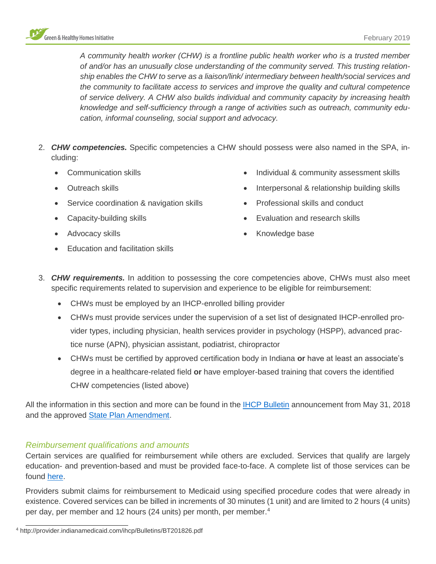

*A community health worker (CHW) is a frontline public health worker who is a trusted member of and/or has an unusually close understanding of the community served. This trusting relationship enables the CHW to serve as a liaison/link/ intermediary between health/social services and the community to facilitate access to services and improve the quality and cultural competence of service delivery. A CHW also builds individual and community capacity by increasing health knowledge and self-sufficiency through a range of activities such as outreach, community education, informal counseling, social support and advocacy.*

- 2. *CHW competencies.* Specific competencies a CHW should possess were also named in the SPA, including:
	- Communication skills
	- Outreach skills
	- Service coordination & navigation skills
	- Capacity-building skills

• Education and facilitation skills

• Advocacy skills

- Individual & community assessment skills
- Interpersonal & relationship building skills
- Professional skills and conduct
- Evaluation and research skills
- Knowledge base
- 
- 3. *CHW requirements.* In addition to possessing the core competencies above, CHWs must also meet specific requirements related to supervision and experience to be eligible for reimbursement:
	- CHWs must be employed by an IHCP-enrolled billing provider
	- CHWs must provide services under the supervision of a set list of designated IHCP-enrolled provider types, including physician, health services provider in psychology (HSPP), advanced practice nurse (APN), physician assistant, podiatrist, chiropractor
	- CHWs must be certified by approved certification body in Indiana **or** have at least an associate's degree in a healthcare-related field **or** have employer-based training that covers the identified CHW competencies (listed above)

All the information in this section and more can be found in the [IHCP Bulletin](http://provider.indianamedicaid.com/ihcp/Bulletins/BT201826.pdf) announcement from May 31, 2018 and the approved [State Plan Amendment.](https://www.medicaid.gov/State-resource-center/Medicaid-State-Plan-Amendments/Downloads/IN/IN-18-005.pdf)

#### *Reimbursement qualifications and amounts*

Certain services are qualified for reimbursement while others are excluded. Services that qualify are largely education- and prevention-based and must be provided face-to-face. A complete list of those services can be found [here.](http://provider.indianamedicaid.com/ihcp/Bulletins/BT201826.pdf)

Providers submit claims for reimbursement to Medicaid using specified procedure codes that were already in existence. Covered services can be billed in increments of 30 minutes (1 unit) and are limited to 2 hours (4 units) per day, per member and 12 hours (24 units) per month, per member.<sup>4</sup>

1

<sup>4</sup> http://provider.indianamedicaid.com/ihcp/Bulletins/BT201826.pdf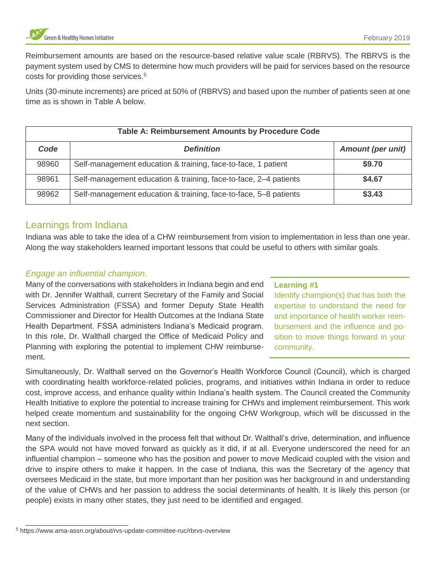Reimbursement amounts are based on the resource-based relative value scale (RBRVS). The RBRVS is the payment system used by CMS to determine how much providers will be paid for services based on the resource costs for providing those services.<sup>5</sup>

Units (30-minute increments) are priced at 50% of (RBRVS) and based upon the number of patients seen at one time as is shown in Table A below.

| <b>Table A: Reimbursement Amounts by Procedure Code</b> |                                                                  |                          |
|---------------------------------------------------------|------------------------------------------------------------------|--------------------------|
| Code                                                    | <b>Definition</b>                                                | <b>Amount (per unit)</b> |
| 98960                                                   | Self-management education & training, face-to-face, 1 patient    | \$9.70                   |
| 98961                                                   | Self-management education & training, face-to-face, 2-4 patients | \$4.67                   |
| 98962                                                   | Self-management education & training, face-to-face, 5-8 patients | \$3.43                   |

# Learnings from Indiana

Indiana was able to take the idea of a CHW reimbursement from vision to implementation in less than one year. Along the way stakeholders learned important lessons that could be useful to others with similar goals.

# *Engage an influential champion.*

Many of the conversations with stakeholders in Indiana begin and end with Dr. Jennifer Walthall, current Secretary of the Family and Social Services Administration (FSSA) and former Deputy State Health Commissioner and Director for Health Outcomes at the Indiana State Health Department. FSSA administers Indiana's Medicaid program. In this role, Dr. Walthall charged the Office of Medicaid Policy and Planning with exploring the potential to implement CHW reimbursement.

# **Learning #1**

Identify champion(s) that has both the expertise to understand the need for and importance of health worker reimbursement and the influence and position to move things forward in your community.

Simultaneously, Dr. Walthall served on the Governor's Health Workforce Council (Council), which is charged with coordinating health workforce-related policies, programs, and initiatives within Indiana in order to reduce cost, improve access, and enhance quality within Indiana's health system. The Council created the Community Health Initiative to explore the potential to increase training for CHWs and implement reimbursement. This work helped create momentum and sustainability for the ongoing CHW Workgroup, which will be discussed in the next section.

Many of the individuals involved in the process felt that without Dr. Walthall's drive, determination, and influence the SPA would not have moved forward as quickly as it did, if at all. Everyone underscored the need for an influential champion – someone who has the position and power to move Medicaid coupled with the vision and drive to inspire others to make it happen. In the case of Indiana, this was the Secretary of the agency that oversees Medicaid in the state, but more important than her position was her background in and understanding of the value of CHWs and her passion to address the social determinants of health. It is likely this person (or people) exists in many other states, they just need to be identified and engaged.

1

<sup>5</sup> https://www.ama-assn.org/about/rvs-update-committee-ruc/rbrvs-overview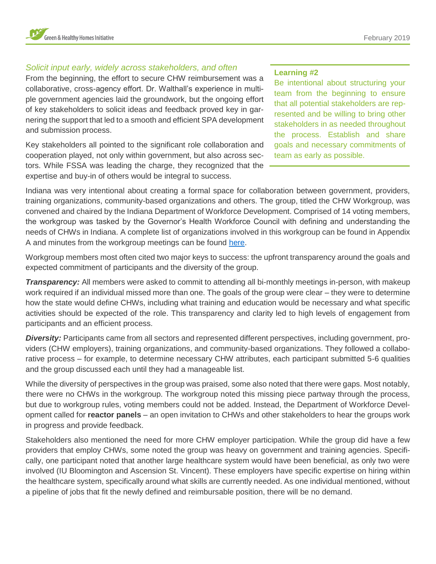

# *Solicit input early, widely across stakeholders, and often*

From the beginning, the effort to secure CHW reimbursement was a collaborative, cross-agency effort. Dr. Walthall's experience in multiple government agencies laid the groundwork, but the ongoing effort of key stakeholders to solicit ideas and feedback proved key in garnering the support that led to a smooth and efficient SPA development and submission process.

Key stakeholders all pointed to the significant role collaboration and cooperation played, not only within government, but also across sectors. While FSSA was leading the charge, they recognized that the expertise and buy-in of others would be integral to success.

#### **Learning #2**

Be intentional about structuring your team from the beginning to ensure that all potential stakeholders are represented and be willing to bring other stakeholders in as needed throughout the process. Establish and share goals and necessary commitments of team as early as possible.

Indiana was very intentional about creating a formal space for collaboration between government, providers, training organizations, community-based organizations and others. The group, titled the CHW Workgroup, was convened and chaired by the Indiana Department of Workforce Development. Comprised of 14 voting members, the workgroup was tasked by the Governor's Health Workforce Council with defining and understanding the needs of CHWs in Indiana. A complete list of organizations involved in this workgroup can be found in Appendix A and minutes from the workgroup meetings can be found [here.](https://www.in.gov/dwd/3202.htm)

Workgroup members most often cited two major keys to success: the upfront transparency around the goals and expected commitment of participants and the diversity of the group.

*Transparency:* All members were asked to commit to attending all bi-monthly meetings in-person, with makeup work required if an individual missed more than one. The goals of the group were clear – they were to determine how the state would define CHWs, including what training and education would be necessary and what specific activities should be expected of the role. This transparency and clarity led to high levels of engagement from participants and an efficient process.

*Diversity:* Participants came from all sectors and represented different perspectives, including government, providers (CHW employers), training organizations, and community-based organizations. They followed a collaborative process – for example, to determine necessary CHW attributes, each participant submitted 5-6 qualities and the group discussed each until they had a manageable list.

While the diversity of perspectives in the group was praised, some also noted that there were gaps. Most notably, there were no CHWs in the workgroup. The workgroup noted this missing piece partway through the process, but due to workgroup rules, voting members could not be added. Instead, the Department of Workforce Development called for **reactor panels** – an open invitation to CHWs and other stakeholders to hear the groups work in progress and provide feedback.

Stakeholders also mentioned the need for more CHW employer participation. While the group did have a few providers that employ CHWs, some noted the group was heavy on government and training agencies. Specifically, one participant noted that another large healthcare system would have been beneficial, as only two were involved (IU Bloomington and Ascension St. Vincent). These employers have specific expertise on hiring within the healthcare system, specifically around what skills are currently needed. As one individual mentioned, without a pipeline of jobs that fit the newly defined and reimbursable position, there will be no demand.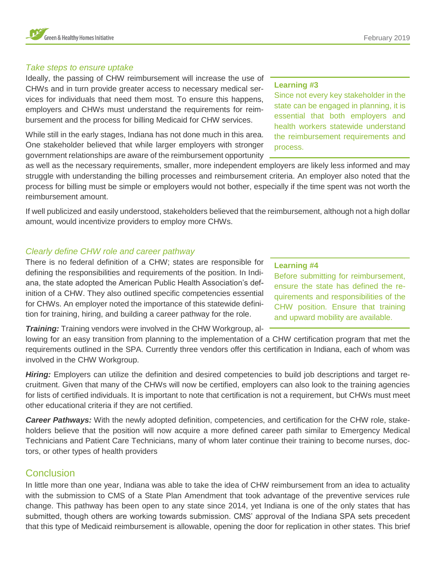#### *Take steps to ensure uptake*

Ideally, the passing of CHW reimbursement will increase the use of CHWs and in turn provide greater access to necessary medical services for individuals that need them most. To ensure this happens, employers and CHWs must understand the requirements for reimbursement and the process for billing Medicaid for CHW services.

While still in the early stages, Indiana has not done much in this area. One stakeholder believed that while larger employers with stronger government relationships are aware of the reimbursement opportunity

#### **Learning #3**

Since not every key stakeholder in the state can be engaged in planning, it is essential that both employers and health workers statewide understand the reimbursement requirements and process.

as well as the necessary requirements, smaller, more independent employers are likely less informed and may struggle with understanding the billing processes and reimbursement criteria. An employer also noted that the process for billing must be simple or employers would not bother, especially if the time spent was not worth the reimbursement amount.

If well publicized and easily understood, stakeholders believed that the reimbursement, although not a high dollar amount, would incentivize providers to employ more CHWs.

### *Clearly define CHW role and career pathway*

There is no federal definition of a CHW; states are responsible for defining the responsibilities and requirements of the position. In Indiana, the state adopted the American Public Health Association's definition of a CHW. They also outlined specific competencies essential for CHWs. An employer noted the importance of this statewide definition for training, hiring, and building a career pathway for the role.

*Training:* Training vendors were involved in the CHW Workgroup, al-

lowing for an easy transition from planning to the implementation of a CHW certification program that met the requirements outlined in the SPA. Currently three vendors offer this certification in Indiana, each of whom was involved in the CHW Workgroup.

*Hiring:* Employers can utilize the definition and desired competencies to build job descriptions and target recruitment. Given that many of the CHWs will now be certified, employers can also look to the training agencies for lists of certified individuals. It is important to note that certification is not a requirement, but CHWs must meet other educational criteria if they are not certified.

*Career Pathways:* With the newly adopted definition, competencies, and certification for the CHW role, stakeholders believe that the position will now acquire a more defined career path similar to Emergency Medical Technicians and Patient Care Technicians, many of whom later continue their training to become nurses, doctors, or other types of health providers

# **Conclusion**

In little more than one year, Indiana was able to take the idea of CHW reimbursement from an idea to actuality with the submission to CMS of a State Plan Amendment that took advantage of the preventive services rule change. This pathway has been open to any state since 2014, yet Indiana is one of the only states that has submitted, though others are working towards submission. CMS' approval of the Indiana SPA sets precedent that this type of Medicaid reimbursement is allowable, opening the door for replication in other states. This brief

#### **Learning #4**

Before submitting for reimbursement, ensure the state has defined the requirements and responsibilities of the CHW position. Ensure that training and upward mobility are available.